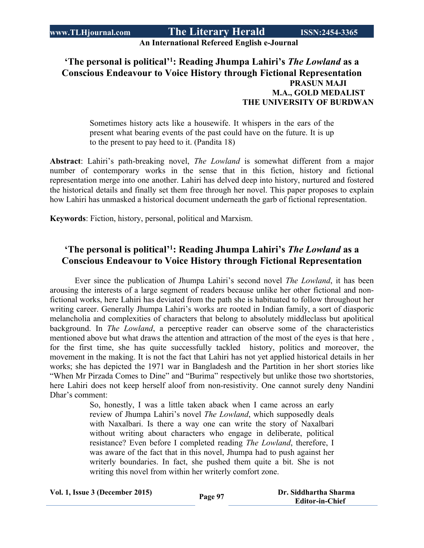# **An International Refereed English e-Journal**

#### **'The personal is political'<sup>1</sup> : Reading Jhumpa Lahiri's** *The Lowland* **as a Conscious Endeavour to Voice History through Fictional Representation PRASUN MAJI M.A., GOLD MEDALIST THE UNIVERSITY OF BURDWAN**

Sometimes history acts like a housewife. It whispers in the ears of the present what bearing events of the past could have on the future. It is up to the present to pay heed to it. (Pandita 18)

**Abstract**: Lahiri's path-breaking novel, *The Lowland* is somewhat different from a major number of contemporary works in the sense that in this fiction, history and fictional representation merge into one another. Lahiri has delved deep into history, nurtured and fostered the historical details and finally set them free through her novel. This paper proposes to explain how Lahiri has unmasked a historical document underneath the garb of fictional representation.

**Keywords**: Fiction, history, personal, political and Marxism.

## **'The personal is political'<sup>1</sup> : Reading Jhumpa Lahiri's** *The Lowland* **as a Conscious Endeavour to Voice History through Fictional Representation**

Ever since the publication of Jhumpa Lahiri's second novel *The Lowland*, it has been arousing the interests of a large segment of readers because unlike her other fictional and nonfictional works, here Lahiri has deviated from the path she is habituated to follow throughout her writing career. Generally Jhumpa Lahiri's works are rooted in Indian family, a sort of diasporic melancholia and complexities of characters that belong to absolutely middleclass but apolitical background. In *The Lowland*, a perceptive reader can observe some of the characteristics mentioned above but what draws the attention and attraction of the most of the eyes is that here , for the first time, she has quite successfully tackled history, politics and moreover, the movement in the making. It is not the fact that Lahiri has not yet applied historical details in her works; she has depicted the 1971 war in Bangladesh and the Partition in her short stories like "When Mr Pirzada Comes to Dine" and "Burima" respectively but unlike those two shortstories, here Lahiri does not keep herself aloof from non-resistivity. One cannot surely deny Nandini Dhar's comment:

> So, honestly, I was a little taken aback when I came across an early review of Jhumpa Lahiri's novel *The Lowland*, which supposedly deals with Naxalbari. Is there a way one can write the story of Naxalbari without writing about characters who engage in deliberate, political resistance? Even before I completed reading *The Lowland*, therefore, I was aware of the fact that in this novel, Jhumpa had to push against her writerly boundaries. In fact, she pushed them quite a bit. She is not writing this novel from within her writerly comfort zone.

| Vol. 1, Issue 3 (December 2015) | Page 97 | Dr. Siddhartha Sharma  |
|---------------------------------|---------|------------------------|
|                                 |         | <b>Editor-in-Chief</b> |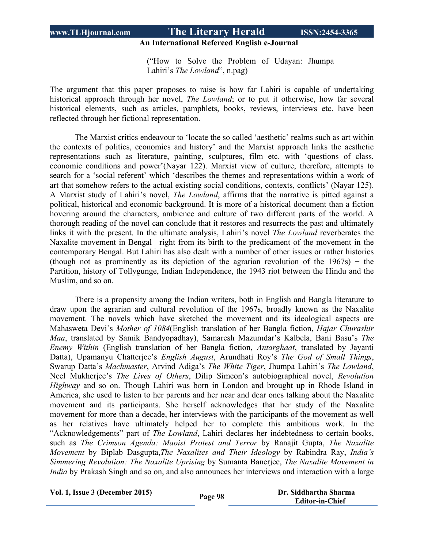#### **An International Refereed English e-Journal**

("How to Solve the Problem of Udayan: Jhumpa Lahiri's *The Lowland*", n.pag)

The argument that this paper proposes to raise is how far Lahiri is capable of undertaking historical approach through her novel, *The Lowland*; or to put it otherwise, how far several historical elements, such as articles, pamphlets, books, reviews, interviews etc. have been reflected through her fictional representation.

The Marxist critics endeavour to 'locate the so called 'aesthetic' realms such as art within the contexts of politics, economics and history' and the Marxist approach links the aesthetic representations such as literature, painting, sculptures, film etc. with 'questions of class, economic conditions and power'(Nayar 122). Marxist view of culture, therefore, attempts to search for a 'social referent' which 'describes the themes and representations within a work of art that somehow refers to the actual existing social conditions, contexts, conflicts' (Nayar 125). A Marxist study of Lahiri's novel, *The Lowland*, affirms that the narrative is pitted against a political, historical and economic background. It is more of a historical document than a fiction hovering around the characters, ambience and culture of two different parts of the world. A thorough reading of the novel can conclude that it restores and resurrects the past and ultimately links it with the present. In the ultimate analysis, Lahiri's novel *The Lowland* reverberates the Naxalite movement in Bengal− right from its birth to the predicament of the movement in the contemporary Bengal. But Lahiri has also dealt with a number of other issues or rather histories (though not as prominently as its depiction of the agrarian revolution of the  $1967s$ ) – the Partition, history of Tollygunge, Indian Independence, the 1943 riot between the Hindu and the Muslim, and so on.

There is a propensity among the Indian writers, both in English and Bangla literature to draw upon the agrarian and cultural revolution of the 1967s, broadly known as the Naxalite movement. The novels which have sketched the movement and its ideological aspects are Mahasweta Devi's *Mother of 1084*(English translation of her Bangla fiction, *Hajar Churashir Maa*, translated by Samik Bandyopadhay), Samaresh Mazumdar's Kalbela, Bani Basu's *The Enemy Within* (English translation of her Bangla fiction, *Antarghaat*, translated by Jayanti Datta), Upamanyu Chatterjee's *English August*, Arundhati Roy's *The God of Small Things*, Swarup Datta's *Machmaster*, Arvind Adiga's *The White Tiger*, Jhumpa Lahiri's *The Lowland*, Neel Mukherjee's *The Lives of Others*, Dilip Simeon's autobiographical novel, *Revolution Highway* and so on. Though Lahiri was born in London and brought up in Rhode Island in America, she used to listen to her parents and her near and dear ones talking about the Naxalite movement and its participants. She herself acknowledges that her study of the Naxalite movement for more than a decade, her interviews with the participants of the movement as well as her relatives have ultimately helped her to complete this ambitious work. In the "Acknowledgements" part of *The Lowland*, Lahiri declares her indebtedness to certain books, such as *The Crimson Agenda: Maoist Protest and Terror* by Ranajit Gupta, *The Naxalite Movement* by Biplab Dasgupta,*The Naxalites and Their Ideology* by Rabindra Ray, *India's Simmering Revolution: The Naxalite Uprising* by Sumanta Banerjee, *The Naxalite Movement in India* by Prakash Singh and so on, and also announces her interviews and interaction with a large

**Vol. 1, Issue <sup>3</sup> (December 2015) Page <sup>98</sup> Dr. Siddhartha Sharma**

 **Editor-in-Chief**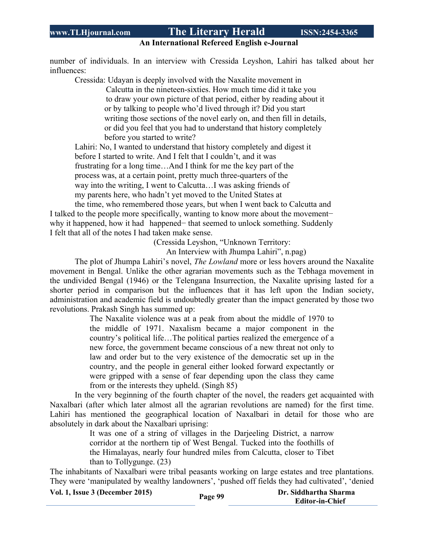#### **An International Refereed English e-Journal**

number of individuals. In an interview with Cressida Leyshon, Lahiri has talked about her influences:

Cressida: Udayan is deeply involved with the Naxalite movement in Calcutta in the nineteen-sixties. How much time did it take you to draw your own picture of that period, either by reading about it or by talking to people who'd lived through it? Did you start writing those sections of the novel early on, and then fill in details, or did you feel that you had to understand that history completely before you started to write?

Lahiri: No, I wanted to understand that history completely and digest it before I started to write. And I felt that I couldn't, and it was frustrating for a long time…And I think for me the key part of the process was, at a certain point, pretty much three-quarters of the way into the writing, I went to Calcutta…I was asking friends of my parents here, who hadn't yet moved to the United States at

the time, who remembered those years, but when I went back to Calcutta and I talked to the people more specifically, wanting to know more about the movement− why it happened, how it had happened− that seemed to unlock something. Suddenly I felt that all of the notes I had taken make sense.

(Cressida Leyshon, "Unknown Territory:

An Interview with Jhumpa Lahiri", n.pag)

The plot of Jhumpa Lahiri's novel, *The Lowland* more or less hovers around the Naxalite movement in Bengal. Unlike the other agrarian movements such as the Tebhaga movement in the undivided Bengal (1946) or the Telengana Insurrection, the Naxalite uprising lasted for a shorter period in comparison but the influences that it has left upon the Indian society, administration and academic field is undoubtedly greater than the impact generated by those two revolutions. Prakash Singh has summed up:

> The Naxalite violence was at a peak from about the middle of 1970 to the middle of 1971. Naxalism became a major component in the country's political life…The political parties realized the emergence of a new force, the government became conscious of a new threat not only to law and order but to the very existence of the democratic set up in the country, and the people in general either looked forward expectantly or were gripped with a sense of fear depending upon the class they came from or the interests they upheld. (Singh 85)

In the very beginning of the fourth chapter of the novel, the readers get acquainted with Naxalbari (after which later almost all the agrarian revolutions are named) for the first time. Lahiri has mentioned the geographical location of Naxalbari in detail for those who are absolutely in dark about the Naxalbari uprising:

> It was one of a string of villages in the Darjeeling District, a narrow corridor at the northern tip of West Bengal. Tucked into the foothills of the Himalayas, nearly four hundred miles from Calcutta, closer to Tibet than to Tollygunge. (23)

The inhabitants of Naxalbari were tribal peasants working on large estates and tree plantations. They were 'manipulated by wealthy landowners', 'pushed off fields they had cultivated', 'denied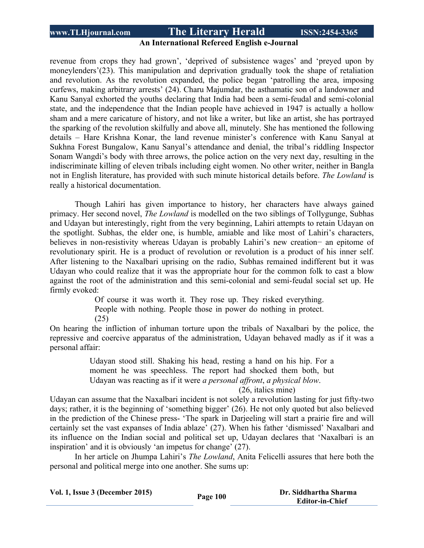#### **An International Refereed English e-Journal**

revenue from crops they had grown', 'deprived of subsistence wages' and 'preyed upon by moneylenders'(23). This manipulation and deprivation gradually took the shape of retaliation and revolution. As the revolution expanded, the police began 'patrolling the area, imposing curfews, making arbitrary arrests' (24). Charu Majumdar, the asthamatic son of a landowner and Kanu Sanyal exhorted the youths declaring that India had been a semi-feudal and semi-colonial state, and the independence that the Indian people have achieved in 1947 is actually a hollow sham and a mere caricature of history, and not like a writer, but like an artist, she has portrayed the sparking of the revolution skilfully and above all, minutely. She has mentioned the following details – Hare Krishna Konar, the land revenue minister's conference with Kanu Sanyal at Sukhna Forest Bungalow, Kanu Sanyal's attendance and denial, the tribal's riddling Inspector Sonam Wangdi's body with three arrows, the police action on the very next day, resulting in the indiscriminate killing of eleven tribals including eight women. No other writer, neither in Bangla not in English literature, has provided with such minute historical details before. *The Lowland* is really a historical documentation.

Though Lahiri has given importance to history, her characters have always gained primacy. Her second novel, *The Lowland* is modelled on the two siblings of Tollygunge, Subhas and Udayan but interestingly, right from the very beginning, Lahiri attempts to retain Udayan on the spotlight. Subhas, the elder one, is humble, amiable and like most of Lahiri's characters, believes in non-resistivity whereas Udayan is probably Lahiri's new creation− an epitome of revolutionary spirit. He is a product of revolution or revolution is a product of his inner self. After listening to the Naxalbari uprising on the radio, Subhas remained indifferent but it was Udayan who could realize that it was the appropriate hour for the common folk to cast a blow against the root of the administration and this semi-colonial and semi-feudal social set up. He firmly evoked:

> Of course it was worth it. They rose up. They risked everything. People with nothing. People those in power do nothing in protect.

(25)

On hearing the infliction of inhuman torture upon the tribals of Naxalbari by the police, the repressive and coercive apparatus of the administration, Udayan behaved madly as if it was a personal affair:

> Udayan stood still. Shaking his head, resting a hand on his hip. For a moment he was speechless. The report had shocked them both, but Udayan was reacting as if it were *a personal affront*, *a physical blow*.

(26, italics mine)

Udayan can assume that the Naxalbari incident is not solely a revolution lasting for just fifty-two days; rather, it is the beginning of 'something bigger' (26). He not only quoted but also believed in the prediction of the Chinese press- 'The spark in Darjeeling will start a prairie fire and will certainly set the vast expanses of India ablaze' (27). When his father 'dismissed' Naxalbari and its influence on the Indian social and political set up, Udayan declares that 'Naxalbari is an inspiration' and it is obviously 'an impetus for change' (27).

In her article on Jhumpa Lahiri's *The Lowland*, Anita Felicelli assures that here both the personal and political merge into one another. She sums up:

| Vol. 1, Issue 3 (December 2015) | Page 100 | Dr. Siddhartha Sharma  |
|---------------------------------|----------|------------------------|
|                                 |          | <b>Editor-in-Chief</b> |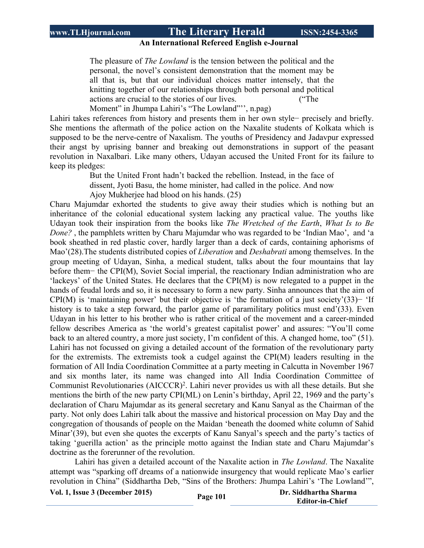#### **An International Refereed English e-Journal**

The pleasure of *The Lowland* is the tension between the political and the personal, the novel's consistent demonstration that the moment may be all that is, but that our individual choices matter intensely, that the knitting together of our relationships through both personal and political actions are crucial to the stories of our lives. ("The

Moment" in Jhumpa Lahiri's "The Lowland"", n.pag)

Lahiri takes references from history and presents them in her own style− precisely and briefly. She mentions the aftermath of the police action on the Naxalite students of Kolkata which is supposed to be the nerve-centre of Naxalism. The youths of Presidency and Jadavpur expressed their angst by uprising banner and breaking out demonstrations in support of the peasant revolution in Naxalbari. Like many others, Udayan accused the United Front for its failure to keep its pledges:

> But the United Front hadn't backed the rebellion. Instead, in the face of dissent, Jyoti Basu, the home minister, had called in the police. And now Ajoy Mukherjee had blood on his hands. (25)

Charu Majumdar exhorted the students to give away their studies which is nothing but an inheritance of the colonial educational system lacking any practical value. The youths like Udayan took their inspiration from the books like *The Wretched of the Earth*, *What Is to Be Done?* , the pamphlets written by Charu Majumdar who was regarded to be 'Indian Mao', and 'a book sheathed in red plastic cover, hardly larger than a deck of cards, containing aphorisms of Mao'(28).The students distributed copies of *Liberation* and *Deshabrati* among themselves. In the group meeting of Udayan, Sinha, a medical student, talks about the four mountains that lay before them− the CPI(M), Soviet Social imperial, the reactionary Indian administration who are 'lackeys' of the United States. He declares that the CPI(M) is now relegated to a puppet in the hands of feudal lords and so, it is necessary to form a new party. Sinha announces that the aim of CPI(M) is 'maintaining power' but their objective is 'the formation of a just society'(33)− 'If history is to take a step forward, the parlor game of paramilitary politics must end'(33). Even Udayan in his letter to his brother who is rather critical of the movement and a career-minded fellow describes America as 'the world's greatest capitalist power' and assures: "You'll come back to an altered country, a more just society, I'm confident of this. A changed home, too" (51). Lahiri has not focussed on giving a detailed account of the formation of the revolutionary party for the extremists. The extremists took a cudgel against the CPI(M) leaders resulting in the formation of All India Coordination Committee at a party meeting in Calcutta in November 1967 and six months later, its name was changed into All India Coordination Committee of Communist Revolutionaries (AICCCR)<sup>2</sup>. Lahiri never provides us with all these details. But she mentions the birth of the new party CPI(ML) on Lenin's birthday, April 22, 1969 and the party's declaration of Charu Majumdar as its general secretary and Kanu Sanyal as the Chairman of the party. Not only does Lahiri talk about the massive and historical procession on May Day and the congregation of thousands of people on the Maidan 'beneath the doomed white column of Sahid Minar'(39), but even she quotes the excerpts of Kanu Sanyal's speech and the party's tactics of taking 'guerilla action' as the principle motto against the Indian state and Charu Majumdar's doctrine as the forerunner of the revolution.

Lahiri has given a detailed account of the Naxalite action in *The Lowland*. The Naxalite attempt was "sparking off dreams of a nationwide insurgency that would replicate Mao's earlier revolution in China" (Siddhartha Deb, "Sins of the Brothers: Jhumpa Lahiri's 'The Lowland'",

**Vol. 1, Issue <sup>3</sup> (December 2015) Page <sup>101</sup> Dr. Siddhartha Sharma**

 **Editor-in-Chief**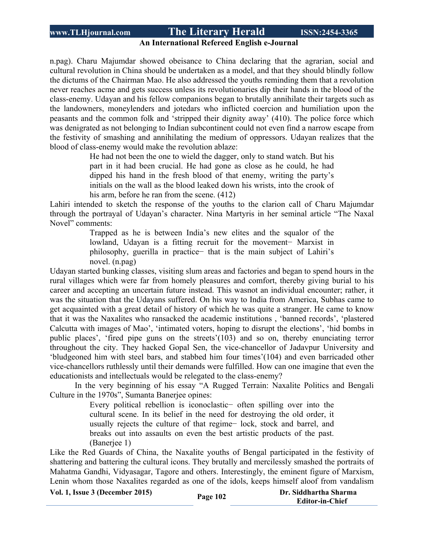### **An International Refereed English e-Journal**

n.pag). Charu Majumdar showed obeisance to China declaring that the agrarian, social and cultural revolution in China should be undertaken as a model, and that they should blindly follow the dictums of the Chairman Mao. He also addressed the youths reminding them that a revolution never reaches acme and gets success unless its revolutionaries dip their hands in the blood of the class-enemy. Udayan and his fellow companions began to brutally annihilate their targets such as the landowners, moneylenders and jotedars who inflicted coercion and humiliation upon the peasants and the common folk and 'stripped their dignity away' (410). The police force which was denigrated as not belonging to Indian subcontinent could not even find a narrow escape from the festivity of smashing and annihilating the medium of oppressors. Udayan realizes that the blood of class-enemy would make the revolution ablaze:

> He had not been the one to wield the dagger, only to stand watch. But his part in it had been crucial. He had gone as close as he could, he had dipped his hand in the fresh blood of that enemy, writing the party's initials on the wall as the blood leaked down his wrists, into the crook of his arm, before he ran from the scene. (412)

Lahiri intended to sketch the response of the youths to the clarion call of Charu Majumdar through the portrayal of Udayan's character. Nina Martyris in her seminal article "The Naxal Novel" comments:

> Trapped as he is between India's new elites and the squalor of the lowland, Udayan is a fitting recruit for the movement− Marxist in philosophy, guerilla in practice− that is the main subject of Lahiri's novel. (n.pag)

Udayan started bunking classes, visiting slum areas and factories and began to spend hours in the rural villages which were far from homely pleasures and comfort, thereby giving burial to his career and accepting an uncertain future instead. This wasnot an individual encounter; rather, it was the situation that the Udayans suffered. On his way to India from America, Subhas came to get acquainted with a great detail of history of which he was quite a stranger. He came to know that it was the Naxalites who ransacked the academic institutions , 'banned records', 'plastered Calcutta with images of Mao', 'intimated voters, hoping to disrupt the elections', 'hid bombs in public places', 'fired pipe guns on the streets'(103) and so on, thereby enunciating terror throughout the city. They hacked Gopal Sen, the vice-chancellor of Jadavpur University and 'bludgeoned him with steel bars, and stabbed him four times'(104) and even barricaded other vice-chancellors ruthlessly until their demands were fulfilled. How can one imagine that even the educationists and intellectuals would be relegated to the class-enemy?

In the very beginning of his essay "A Rugged Terrain: Naxalite Politics and Bengali Culture in the 1970s", Sumanta Banerjee opines:

> Every political rebellion is iconoclastic− often spilling over into the cultural scene. In its belief in the need for destroying the old order, it usually rejects the culture of that regime− lock, stock and barrel, and breaks out into assaults on even the best artistic products of the past. (Banerjee 1)

Like the Red Guards of China, the Naxalite youths of Bengal participated in the festivity of shattering and battering the cultural icons. They brutally and mercilessly smashed the portraits of Mahatma Gandhi, Vidyasagar, Tagore and others. Interestingly, the eminent figure of Marxism, Lenin whom those Naxalites regarded as one of the idols, keeps himself aloof from vandalism

**Vol. 1, Issue <sup>3</sup> (December 2015) Page <sup>102</sup> Dr. Siddhartha Sharma**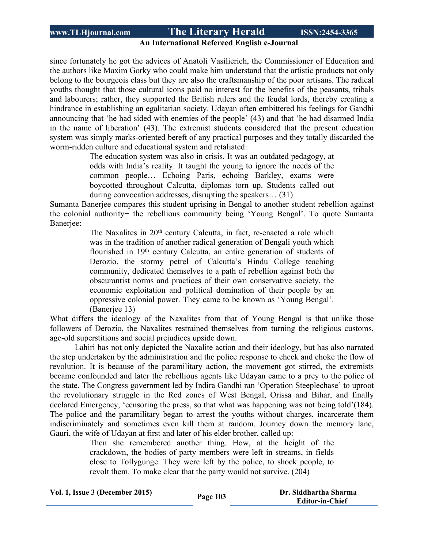# **An International Refereed English e-Journal**

since fortunately he got the advices of Anatoli Vasilierich, the Commissioner of Education and the authors like Maxim Gorky who could make him understand that the artistic products not only belong to the bourgeois class but they are also the craftsmanship of the poor artisans. The radical youths thought that those cultural icons paid no interest for the benefits of the peasants, tribals and labourers; rather, they supported the British rulers and the feudal lords, thereby creating a hindrance in establishing an egalitarian society. Udayan often embittered his feelings for Gandhi announcing that 'he had sided with enemies of the people' (43) and that 'he had disarmed India in the name of liberation' (43). The extremist students considered that the present education system was simply marks-oriented bereft of any practical purposes and they totally discarded the worm-ridden culture and educational system and retaliated:

> The education system was also in crisis. It was an outdated pedagogy, at odds with India's reality. It taught the young to ignore the needs of the common people… Echoing Paris, echoing Barkley, exams were boycotted throughout Calcutta, diplomas torn up. Students called out during convocation addresses, disrupting the speakers… (31)

Sumanta Banerjee compares this student uprising in Bengal to another student rebellion against the colonial authority− the rebellious community being 'Young Bengal'. To quote Sumanta Banerjee:

> The Naxalites in 20<sup>th</sup> century Calcutta, in fact, re-enacted a role which was in the tradition of another radical generation of Bengali youth which flourished in 19th century Calcutta, an entire generation of students of Derozio, the stormy petrel of Calcutta's Hindu College teaching community, dedicated themselves to a path of rebellion against both the obscurantist norms and practices of their own conservative society, the economic exploitation and political domination of their people by an oppressive colonial power. They came to be known as 'Young Bengal'. (Banerjee 13)

What differs the ideology of the Naxalites from that of Young Bengal is that unlike those followers of Derozio, the Naxalites restrained themselves from turning the religious customs, age-old superstitions and social prejudices upside down.

Lahiri has not only depicted the Naxalite action and their ideology, but has also narrated the step undertaken by the administration and the police response to check and choke the flow of revolution. It is because of the paramilitary action, the movement got stirred, the extremists became confounded and later the rebellious agents like Udayan came to a prey to the police of the state. The Congress government led by Indira Gandhi ran 'Operation Steeplechase' to uproot the revolutionary struggle in the Red zones of West Bengal, Orissa and Bihar, and finally declared Emergency, 'censoring the press, so that what was happening was not being told'(184). The police and the paramilitary began to arrest the youths without charges, incarcerate them indiscriminately and sometimes even kill them at random. Journey down the memory lane, Gauri, the wife of Udayan at first and later of his elder brother, called up:

> Then she remembered another thing. How, at the height of the crackdown, the bodies of party members were left in streams, in fields close to Tollygunge. They were left by the police, to shock people, to revolt them. To make clear that the party would not survive. (204)

| Vol. 1, Issue 3 (December 2015) | Page 103 | Dr. Siddhartha Sharma  |
|---------------------------------|----------|------------------------|
|                                 |          | <b>Editor-in-Chief</b> |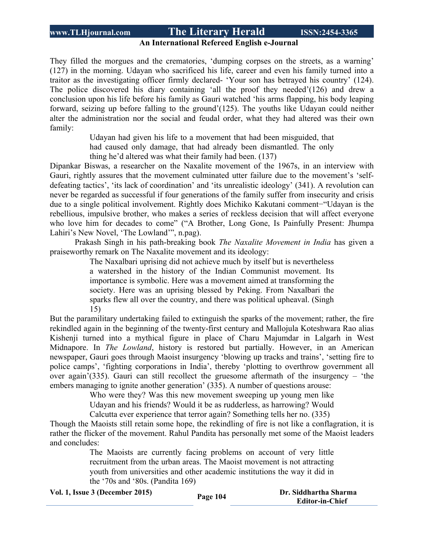#### **An International Refereed English e-Journal**

They filled the morgues and the crematories, 'dumping corpses on the streets, as a warning' (127) in the morning. Udayan who sacrificed his life, career and even his family turned into a traitor as the investigating officer firmly declared- 'Your son has betrayed his country' (124). The police discovered his diary containing 'all the proof they needed'(126) and drew a conclusion upon his life before his family as Gauri watched 'his arms flapping, his body leaping forward, seizing up before falling to the ground'(125). The youths like Udayan could neither alter the administration nor the social and feudal order, what they had altered was their own family:

> Udayan had given his life to a movement that had been misguided, that had caused only damage, that had already been dismantled. The only thing he'd altered was what their family had been. (137)

Dipankar Biswas, a researcher on the Naxalite movement of the 1967s, in an interview with Gauri, rightly assures that the movement culminated utter failure due to the movement's 'selfdefeating tactics', 'its lack of coordination' and 'its unrealistic ideology' (341). A revolution can never be regarded as successful if four generations of the family suffer from insecurity and crisis due to a single political involvement. Rightly does Michiko Kakutani comment−"Udayan is the rebellious, impulsive brother, who makes a series of reckless decision that will affect everyone who love him for decades to come" ("A Brother, Long Gone, Is Painfully Present: Jhumpa Lahiri's New Novel, 'The Lowland'", n.pag).

Prakash Singh in his path-breaking book *The Naxalite Movement in India* has given a praiseworthy remark on The Naxalite movement and its ideology:

> The Naxalbari uprising did not achieve much by itself but is nevertheless a watershed in the history of the Indian Communist movement. Its importance is symbolic. Here was a movement aimed at transforming the society. Here was an uprising blessed by Peking. From Naxalbari the sparks flew all over the country, and there was political upheaval. (Singh 15)

But the paramilitary undertaking failed to extinguish the sparks of the movement; rather, the fire rekindled again in the beginning of the twenty-first century and Mallojula Koteshwara Rao alias Kishenji turned into a mythical figure in place of Charu Majumdar in Lalgarh in West Midnapore. In *The Lowland*, history is restored but partially. However, in an American newspaper, Gauri goes through Maoist insurgency 'blowing up tracks and trains', 'setting fire to police camps', 'fighting corporations in India', thereby 'plotting to overthrow government all over again'(335). Gauri can still recollect the gruesome aftermath of the insurgency – 'the embers managing to ignite another generation' (335). A number of questions arouse:

> Who were they? Was this new movement sweeping up young men like Udayan and his friends? Would it be as rudderless, as harrowing? Would

Calcutta ever experience that terror again? Something tells her no. (335)

Though the Maoists still retain some hope, the rekindling of fire is not like a conflagration, it is rather the flicker of the movement. Rahul Pandita has personally met some of the Maoist leaders and concludes:

> The Maoists are currently facing problems on account of very little recruitment from the urban areas. The Maoist movement is not attracting youth from universities and other academic institutions the way it did in the '70s and '80s. (Pandita 169)

|  | Vol. 1, Issue 3 (December 2015) |  |
|--|---------------------------------|--|
|--|---------------------------------|--|

**Vol. 1, Issue <sup>3</sup> (December 2015) Page <sup>104</sup> Dr. Siddhartha Sharma Editor-in-Chief**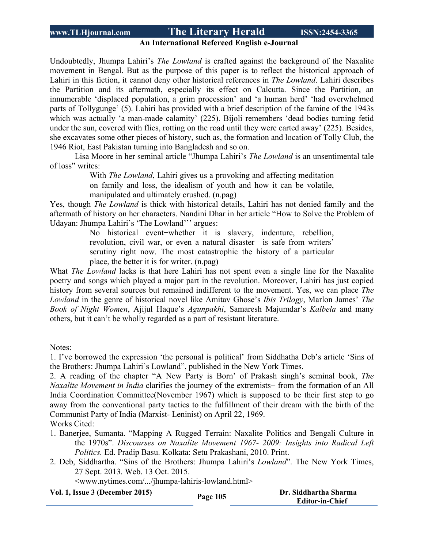#### **An International Refereed English e-Journal**

Undoubtedly, Jhumpa Lahiri's *The Lowland* is crafted against the background of the Naxalite movement in Bengal. But as the purpose of this paper is to reflect the historical approach of Lahiri in this fiction, it cannot deny other historical references in *The Lowland*. Lahiri describes the Partition and its aftermath, especially its effect on Calcutta. Since the Partition, an innumerable 'displaced population, a grim procession' and 'a human herd' 'had overwhelmed parts of Tollygunge' (5). Lahiri has provided with a brief description of the famine of the 1943s which was actually 'a man-made calamity' (225). Bijoli remembers 'dead bodies turning fetid under the sun, covered with flies, rotting on the road until they were carted away' (225). Besides, she excavates some other pieces of history, such as, the formation and location of Tolly Club, the 1946 Riot, East Pakistan turning into Bangladesh and so on.

Lisa Moore in her seminal article "Jhumpa Lahiri's *The Lowland* is an unsentimental tale of loss" writes:

> With *The Lowland*, Lahiri gives us a provoking and affecting meditation on family and loss, the idealism of youth and how it can be volatile, manipulated and ultimately crushed. (n.pag)

Yes, though *The Lowland* is thick with historical details, Lahiri has not denied family and the aftermath of history on her characters. Nandini Dhar in her article "How to Solve the Problem of Udayan: Jhumpa Lahiri's 'The Lowland''' argues:

> No historical event−whether it is slavery, indenture, rebellion, revolution, civil war, or even a natural disaster− is safe from writers' scrutiny right now. The most catastrophic the history of a particular place, the better it is for writer. (n.pag)

What *The Lowland* lacks is that here Lahiri has not spent even a single line for the Naxalite poetry and songs which played a major part in the revolution. Moreover, Lahiri has just copied history from several sources but remained indifferent to the movement. Yes, we can place *The Lowland* in the genre of historical novel like Amitav Ghose's *Ibis Trilogy*, Marlon James' *The Book of Night Women*, Ajijul Haque's *Agunpakhi*, Samaresh Majumdar's *Kalbela* and many others, but it can't be wholly regarded as a part of resistant literature.

Notes:

1. I've borrowed the expression 'the personal is political' from Siddhatha Deb's article 'Sins of the Brothers: Jhumpa Lahiri's Lowland", published in the New York Times.

2. A reading of the chapter "A New Party is Born' of Prakash singh's seminal book, *The Naxalite Movement in India* clarifies the journey of the extremists− from the formation of an All India Coordination Committee(November 1967) which is supposed to be their first step to go away from the conventional party tactics to the fulfillment of their dream with the birth of the Communist Party of India (Marxist- Leninist) on April 22, 1969.

Works Cited:

- 1. Banerjee, Sumanta. "Mapping A Rugged Terrain: Naxalite Politics and Bengali Culture in the 1970s". *Discourses on Naxalite Movement 1967- 2009: Insights into Radical Left Politics.* Ed. Pradip Basu. Kolkata: Setu Prakashani, 2010. Print.
- 2. Deb, Siddhartha. "Sins of the Brothers: Jhumpa Lahiri's *Lowland*". The New York Times, 27 Sept. 2013. Web. 13 Oct. 2015.

<www.nytimes.com/.../jhumpa-lahiris-lowland.html>

**Vol. 1, Issue <sup>3</sup> (December 2015) Page <sup>105</sup> Dr. Siddhartha Sharma**

 **Editor-in-Chief**